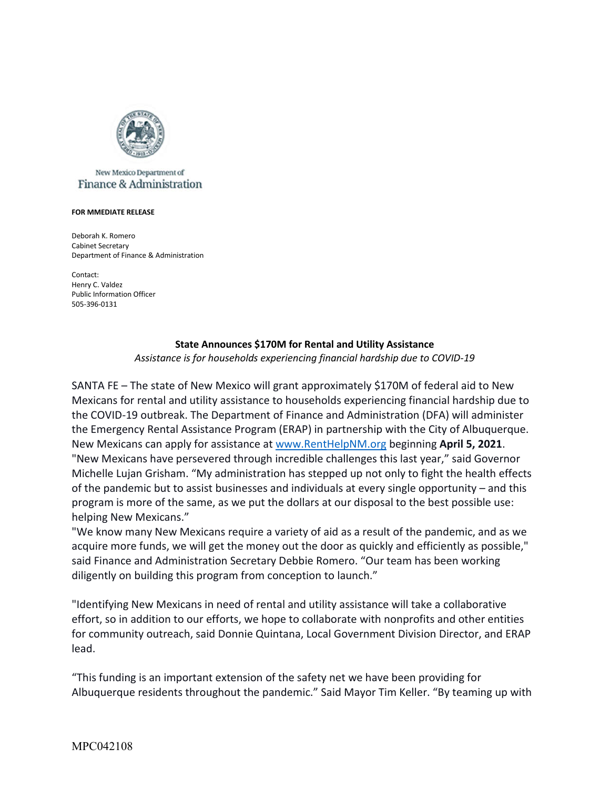

## New Mexico Department of Finance & Administration

## **FOR MMEDIATE RELEASE**

Deborah K. Romero Cabinet Secretary Department of Finance & Administration

Contact: Henry C. Valdez Public Information Officer 505-396-0131

## **State Announces \$170M for Rental and Utility Assistance**

*Assistance is for households experiencing financial hardship due to COVID-19*

 program is more of the same, as we put the dollars at our disposal to the best possible use: SANTA FE – The state of New Mexico will grant approximately \$170M of federal aid to New Mexicans for rental and utility assistance to households experiencing financial hardship due to the COVID-19 outbreak. The Department of Finance and Administration (DFA) will administer the Emergency Rental Assistance Program (ERAP) in partnership with the City of Albuquerque. New Mexicans can apply for assistance at [www.RentHelpNM.org](http://www.RentHelpNM.org) beginning **April 5, 2021**. "New Mexicans have persevered through incredible challenges this last year," said Governor Michelle Lujan Grisham. "My administration has stepped up not only to fight the health effects of the pandemic but to assist businesses and individuals at every single opportunity – and this helping New Mexicans."

"We know many New Mexicans require a variety of aid as a result of the pandemic, and as we acquire more funds, we will get the money out the door as quickly and efficiently as possible," said Finance and Administration Secretary Debbie Romero. "Our team has been working diligently on building this program from conception to launch."

"Identifying New Mexicans in need of rental and utility assistance will take a collaborative effort, so in addition to our efforts, we hope to collaborate with nonprofits and other entities for community outreach, said Donnie Quintana, Local Government Division Director, and ERAP lead.

"This funding is an important extension of the safety net we have been providing for Albuquerque residents throughout the pandemic." Said Mayor Tim Keller. "By teaming up with